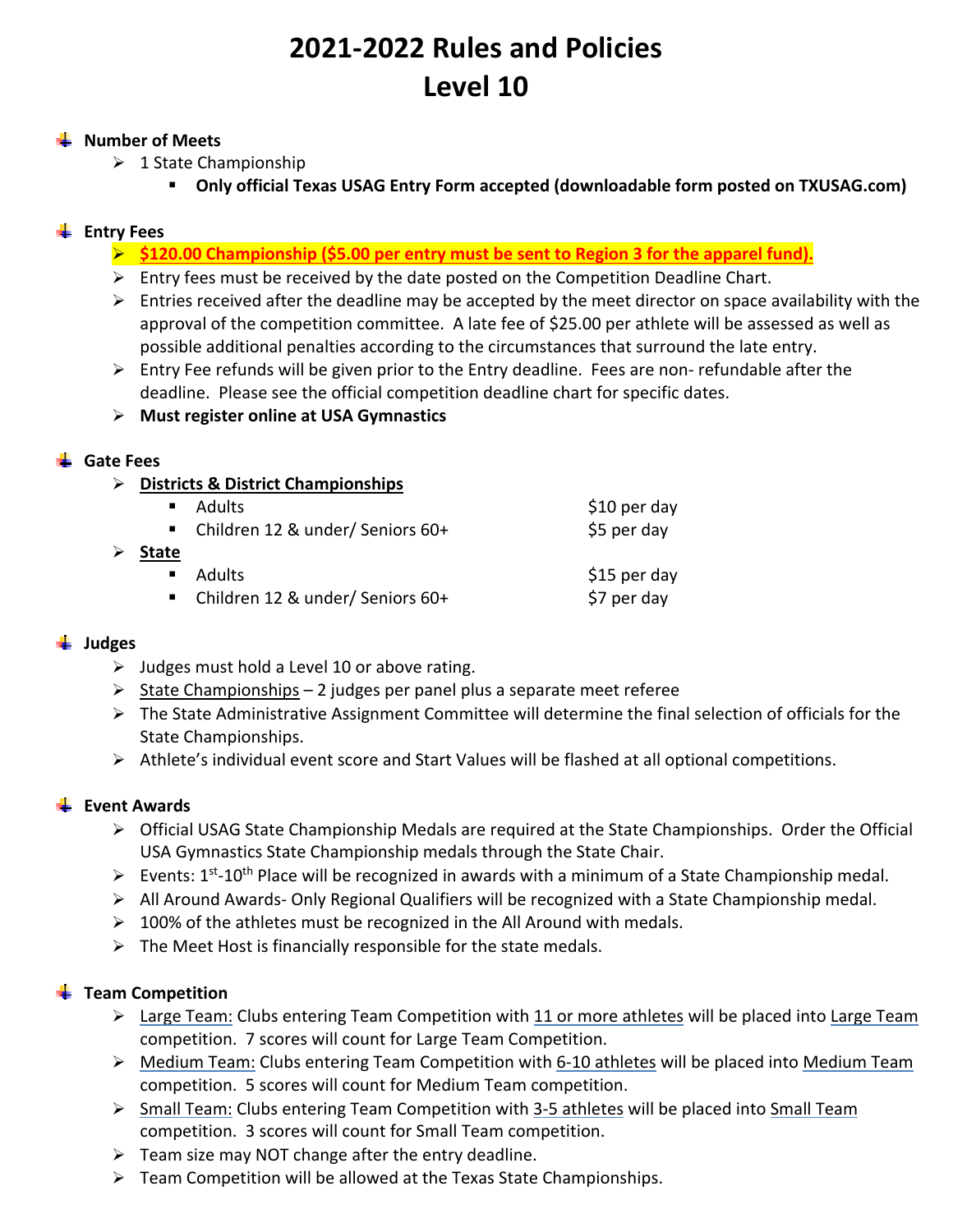# **2021‐2022 Rules and Policies Level 10**

#### **Number of Meets**

- $\geq 1$  State Championship
	- **Only official Texas USAG Entry Form accepted (downloadable form posted on TXUSAG.com)**

## **Entry Fees**

- **\$120.00 Championship (\$5.00 per entry must be sent to Region 3 for the apparel fund).**
- $\triangleright$  Entry fees must be received by the date posted on the Competition Deadline Chart.
- $\triangleright$  Entries received after the deadline may be accepted by the meet director on space availability with the approval of the competition committee. A late fee of \$25.00 per athlete will be assessed as well as possible additional penalties according to the circumstances that surround the late entry.
- $\triangleright$  Entry Fee refunds will be given prior to the Entry deadline. Fees are non-refundable after the deadline. Please see the official competition deadline chart for specific dates.
- **Must register online at USA Gymnastics**

#### **Gate Fees**

**Districts & District Championships** 

|                |               | $$10$ per day                                                                        |
|----------------|---------------|--------------------------------------------------------------------------------------|
|                |               | \$5 per day                                                                          |
| <b>State</b>   |               |                                                                                      |
| $\blacksquare$ | <b>Adults</b> | \$15 per day                                                                         |
|                |               | \$7 per day                                                                          |
|                |               | ■ Adults<br>■ Children 12 & under/ Seniors 60+<br>■ Children 12 & under/ Seniors 60+ |

#### **Judges**

- $\triangleright$  Judges must hold a Level 10 or above rating.
- $\geq$  State Championships 2 judges per panel plus a separate meet referee
- $\triangleright$  The State Administrative Assignment Committee will determine the final selection of officials for the State Championships.
- $\triangleright$  Athlete's individual event score and Start Values will be flashed at all optional competitions.

#### **Event Awards**

- $\triangleright$  Official USAG State Championship Medals are required at the State Championships. Order the Official USA Gymnastics State Championship medals through the State Chair.
- Events:  $1^{st}$ -10<sup>th</sup> Place will be recognized in awards with a minimum of a State Championship medal.
- $\triangleright$  All Around Awards-Only Regional Qualifiers will be recognized with a State Championship medal.
- $\geq 100\%$  of the athletes must be recognized in the All Around with medals.
- $\triangleright$  The Meet Host is financially responsible for the state medals.

#### **Team Competition**

- $\triangleright$  Large Team: Clubs entering Team Competition with 11 or more athletes will be placed into Large Team competition. 7 scores will count for Large Team Competition.
- Medium Team: Clubs entering Team Competition with 6‐10 athletes will be placed into Medium Team competition. 5 scores will count for Medium Team competition.
- Small Team: Clubs entering Team Competition with 3‐5 athletes will be placed into Small Team competition. 3 scores will count for Small Team competition.
- $\triangleright$  Team size may NOT change after the entry deadline.
- $\triangleright$  Team Competition will be allowed at the Texas State Championships.